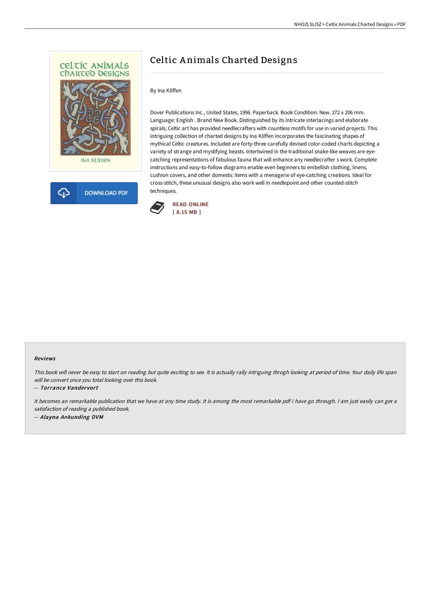



# Celtic A nimals Charted Designs

### By Ina Kliffen

Dover Publications Inc., United States, 1996. Paperback. Book Condition: New. 272 x 206 mm. Language: English . Brand New Book. Distinguished by its intricate interlacings and elaborate spirals, Celtic art has provided needlecrafters with countless motifs for use in varied projects. This intriguing collection of charted designs by Ina Kliffen incorporates the fascinating shapes of mythical Celtic creatures. Included are forty-three carefully devised color-coded charts depicting a variety of strange and mystifying beasts. Intertwined in the traditional snake-like weaves are eyecatching representations of fabulous fauna that will enhance any needlecrafter s work. Complete instructions and easy-to-follow diagrams enable even beginners to embellish clothing, linens, cushion covers, and other domestic items with a menagerie of eye-catching creations. Ideal for cross-stitch, these unusual designs also work well in needlepoint and other counted-stitch techniques.



#### Reviews

This book will never be easy to start on reading but quite exciting to see. It is actually rally intriguing throgh looking at period of time. Your daily life span will be convert once you total looking over this book.

#### -- Torrance Vandervort

It becomes an remarkable publication that we have at any time study. It is among the most remarkable pdf i have go through. <sup>I</sup> am just easily can get <sup>a</sup> satisfaction of reading <sup>a</sup> published book. -- Alayna Ankunding DVM